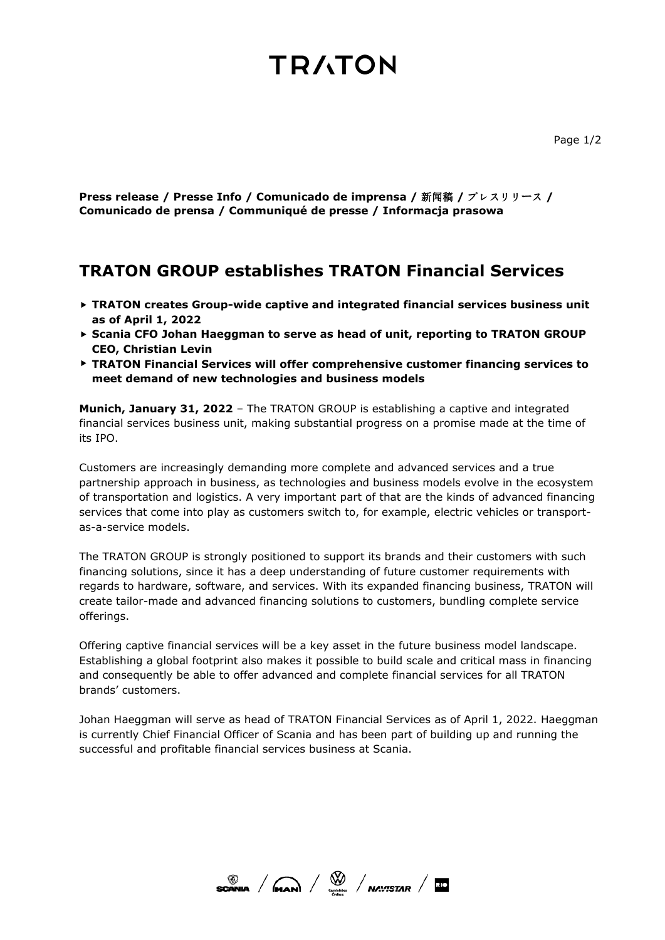# **TRATON**

**Press release / Presse Info / Comunicado de imprensa /** 新闻稿 **/** プレスリリース **/ Comunicado de prensa / Communiqué de presse / Informacja prasowa**

# **TRATON GROUP establishes TRATON Financial Services**

- **TRATON creates Group-wide captive and integrated financial services business unit as of April 1, 2022**
- **Scania CFO Johan Haeggman to serve as head of unit, reporting to TRATON GROUP CEO, Christian Levin**
- **TRATON Financial Services will offer comprehensive customer financing services to meet demand of new technologies and business models**

**Munich, January 31, 2022** – The TRATON GROUP is establishing a captive and integrated financial services business unit, making substantial progress on a promise made at the time of its IPO.

Customers are increasingly demanding more complete and advanced services and a true partnership approach in business, as technologies and business models evolve in the ecosystem of transportation and logistics. A very important part of that are the kinds of advanced financing services that come into play as customers switch to, for example, electric vehicles or transportas-a-service models.

The TRATON GROUP is strongly positioned to support its brands and their customers with such financing solutions, since it has a deep understanding of future customer requirements with regards to hardware, software, and services. With its expanded financing business, TRATON will create tailor-made and advanced financing solutions to customers, bundling complete service offerings.

Offering captive financial services will be a key asset in the future business model landscape. Establishing a global footprint also makes it possible to build scale and critical mass in financing and consequently be able to offer advanced and complete financial services for all TRATON brands' customers.

Johan Haeggman will serve as head of TRATON Financial Services as of April 1, 2022. Haeggman is currently Chief Financial Officer of Scania and has been part of building up and running the successful and profitable financial services business at Scania.